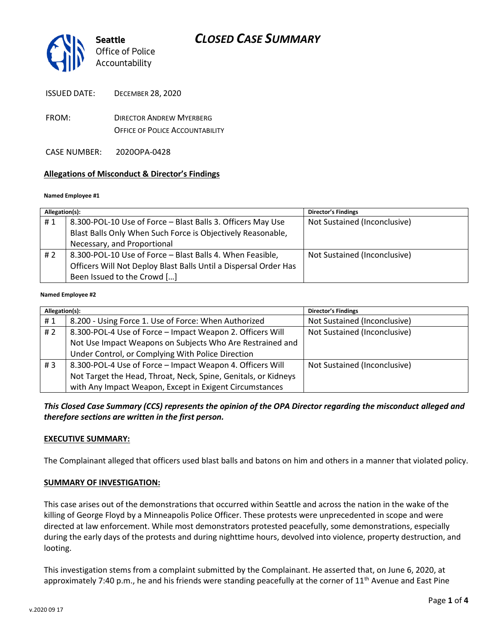

- FROM: DIRECTOR ANDREW MYERBERG OFFICE OF POLICE ACCOUNTABILITY
- CASE NUMBER: 2020OPA-0428

### **Allegations of Misconduct & Director's Findings**

#### **Named Employee #1**

| Allegation(s): |                                                                  | <b>Director's Findings</b>   |
|----------------|------------------------------------------------------------------|------------------------------|
| #1             | 8.300-POL-10 Use of Force - Blast Balls 3. Officers May Use      | Not Sustained (Inconclusive) |
|                | Blast Balls Only When Such Force is Objectively Reasonable,      |                              |
|                | Necessary, and Proportional                                      |                              |
| #2             | 8.300-POL-10 Use of Force - Blast Balls 4. When Feasible,        | Not Sustained (Inconclusive) |
|                | Officers Will Not Deploy Blast Balls Until a Dispersal Order Has |                              |
|                | Been Issued to the Crowd []                                      |                              |
|                |                                                                  |                              |

#### **Named Employee #2**

| Allegation(s): |                                                                | Director's Findings          |
|----------------|----------------------------------------------------------------|------------------------------|
| #1             | 8.200 - Using Force 1. Use of Force: When Authorized           | Not Sustained (Inconclusive) |
| #2             | 8.300-POL-4 Use of Force - Impact Weapon 2. Officers Will      | Not Sustained (Inconclusive) |
|                | Not Use Impact Weapons on Subjects Who Are Restrained and      |                              |
|                | Under Control, or Complying With Police Direction              |                              |
| #3             | 8.300-POL-4 Use of Force - Impact Weapon 4. Officers Will      | Not Sustained (Inconclusive) |
|                | Not Target the Head, Throat, Neck, Spine, Genitals, or Kidneys |                              |
|                | with Any Impact Weapon, Except in Exigent Circumstances        |                              |

*This Closed Case Summary (CCS) represents the opinion of the OPA Director regarding the misconduct alleged and therefore sections are written in the first person.* 

#### **EXECUTIVE SUMMARY:**

The Complainant alleged that officers used blast balls and batons on him and others in a manner that violated policy.

#### **SUMMARY OF INVESTIGATION:**

This case arises out of the demonstrations that occurred within Seattle and across the nation in the wake of the killing of George Floyd by a Minneapolis Police Officer. These protests were unprecedented in scope and were directed at law enforcement. While most demonstrators protested peacefully, some demonstrations, especially during the early days of the protests and during nighttime hours, devolved into violence, property destruction, and looting.

This investigation stems from a complaint submitted by the Complainant. He asserted that, on June 6, 2020, at approximately 7:40 p.m., he and his friends were standing peacefully at the corner of  $11<sup>th</sup>$  Avenue and East Pine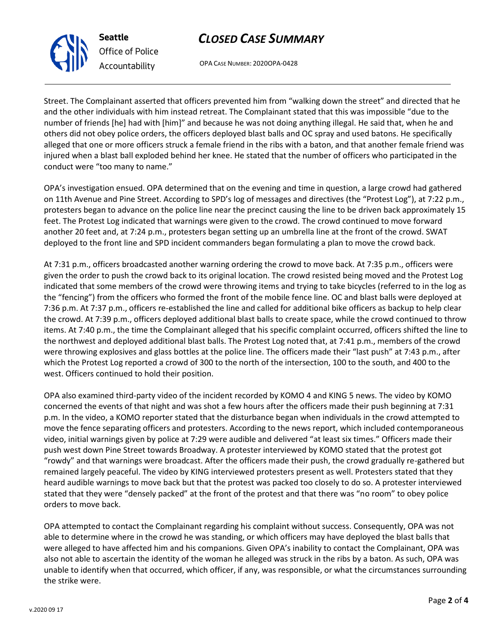# *CLOSED CASE SUMMARY*

OPA CASE NUMBER: 2020OPA-0428

Street. The Complainant asserted that officers prevented him from "walking down the street" and directed that he and the other individuals with him instead retreat. The Complainant stated that this was impossible "due to the number of friends [he] had with [him]" and because he was not doing anything illegal. He said that, when he and others did not obey police orders, the officers deployed blast balls and OC spray and used batons. He specifically alleged that one or more officers struck a female friend in the ribs with a baton, and that another female friend was injured when a blast ball exploded behind her knee. He stated that the number of officers who participated in the conduct were "too many to name."

OPA's investigation ensued. OPA determined that on the evening and time in question, a large crowd had gathered on 11th Avenue and Pine Street. According to SPD's log of messages and directives (the "Protest Log"), at 7:22 p.m., protesters began to advance on the police line near the precinct causing the line to be driven back approximately 15 feet. The Protest Log indicated that warnings were given to the crowd. The crowd continued to move forward another 20 feet and, at 7:24 p.m., protesters began setting up an umbrella line at the front of the crowd. SWAT deployed to the front line and SPD incident commanders began formulating a plan to move the crowd back.

At 7:31 p.m., officers broadcasted another warning ordering the crowd to move back. At 7:35 p.m., officers were given the order to push the crowd back to its original location. The crowd resisted being moved and the Protest Log indicated that some members of the crowd were throwing items and trying to take bicycles (referred to in the log as the "fencing") from the officers who formed the front of the mobile fence line. OC and blast balls were deployed at 7:36 p.m. At 7:37 p.m., officers re-established the line and called for additional bike officers as backup to help clear the crowd. At 7:39 p.m., officers deployed additional blast balls to create space, while the crowd continued to throw items. At 7:40 p.m., the time the Complainant alleged that his specific complaint occurred, officers shifted the line to the northwest and deployed additional blast balls. The Protest Log noted that, at 7:41 p.m., members of the crowd were throwing explosives and glass bottles at the police line. The officers made their "last push" at 7:43 p.m., after which the Protest Log reported a crowd of 300 to the north of the intersection, 100 to the south, and 400 to the west. Officers continued to hold their position.

OPA also examined third-party video of the incident recorded by KOMO 4 and KING 5 news. The video by KOMO concerned the events of that night and was shot a few hours after the officers made their push beginning at 7:31 p.m. In the video, a KOMO reporter stated that the disturbance began when individuals in the crowd attempted to move the fence separating officers and protesters. According to the news report, which included contemporaneous video, initial warnings given by police at 7:29 were audible and delivered "at least six times." Officers made their push west down Pine Street towards Broadway. A protester interviewed by KOMO stated that the protest got "rowdy" and that warnings were broadcast. After the officers made their push, the crowd gradually re-gathered but remained largely peaceful. The video by KING interviewed protesters present as well. Protesters stated that they heard audible warnings to move back but that the protest was packed too closely to do so. A protester interviewed stated that they were "densely packed" at the front of the protest and that there was "no room" to obey police orders to move back.

OPA attempted to contact the Complainant regarding his complaint without success. Consequently, OPA was not able to determine where in the crowd he was standing, or which officers may have deployed the blast balls that were alleged to have affected him and his companions. Given OPA's inability to contact the Complainant, OPA was also not able to ascertain the identity of the woman he alleged was struck in the ribs by a baton. As such, OPA was unable to identify when that occurred, which officer, if any, was responsible, or what the circumstances surrounding the strike were.



**Seattle**

*Office of Police Accountability*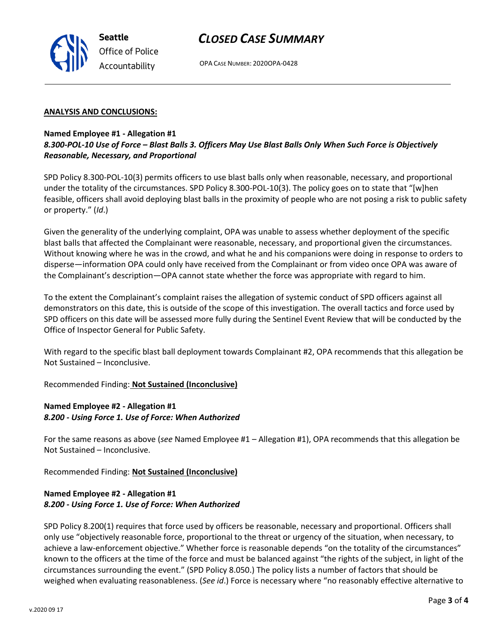# *CLOSED CASE SUMMARY*

OPA CASE NUMBER: 2020OPA-0428

#### **ANALYSIS AND CONCLUSIONS:**

**Seattle**

*Office of Police Accountability*

### **Named Employee #1 - Allegation #1** *8.300-POL-10 Use of Force – Blast Balls 3. Officers May Use Blast Balls Only When Such Force is Objectively Reasonable, Necessary, and Proportional*

SPD Policy 8.300-POL-10(3) permits officers to use blast balls only when reasonable, necessary, and proportional under the totality of the circumstances. SPD Policy 8.300-POL-10(3). The policy goes on to state that "[w]hen feasible, officers shall avoid deploying blast balls in the proximity of people who are not posing a risk to public safety or property." (*Id*.)

Given the generality of the underlying complaint, OPA was unable to assess whether deployment of the specific blast balls that affected the Complainant were reasonable, necessary, and proportional given the circumstances. Without knowing where he was in the crowd, and what he and his companions were doing in response to orders to disperse—information OPA could only have received from the Complainant or from video once OPA was aware of the Complainant's description—OPA cannot state whether the force was appropriate with regard to him.

To the extent the Complainant's complaint raises the allegation of systemic conduct of SPD officers against all demonstrators on this date, this is outside of the scope of this investigation. The overall tactics and force used by SPD officers on this date will be assessed more fully during the Sentinel Event Review that will be conducted by the Office of Inspector General for Public Safety.

With regard to the specific blast ball deployment towards Complainant #2, OPA recommends that this allegation be Not Sustained – Inconclusive.

### Recommended Finding: **Not Sustained (Inconclusive)**

## **Named Employee #2 - Allegation #1** *8.200 - Using Force 1. Use of Force: When Authorized*

For the same reasons as above (*see* Named Employee #1 – Allegation #1), OPA recommends that this allegation be Not Sustained – Inconclusive.

Recommended Finding: **Not Sustained (Inconclusive)**

## **Named Employee #2 - Allegation #1** *8.200 - Using Force 1. Use of Force: When Authorized*

SPD Policy 8.200(1) requires that force used by officers be reasonable, necessary and proportional. Officers shall only use "objectively reasonable force, proportional to the threat or urgency of the situation, when necessary, to achieve a law-enforcement objective." Whether force is reasonable depends "on the totality of the circumstances" known to the officers at the time of the force and must be balanced against "the rights of the subject, in light of the circumstances surrounding the event." (SPD Policy 8.050.) The policy lists a number of factors that should be weighed when evaluating reasonableness. (*See id*.) Force is necessary where "no reasonably effective alternative to